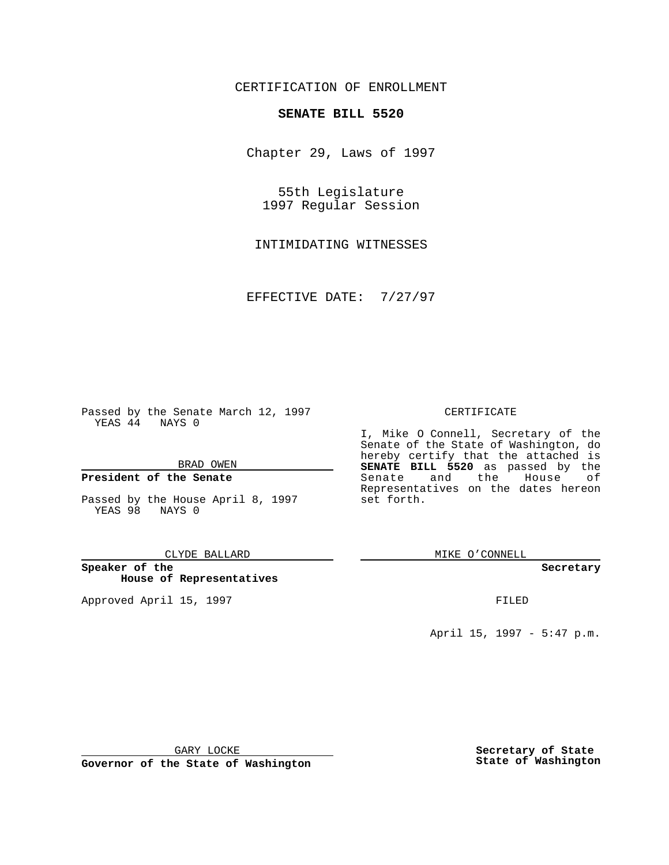CERTIFICATION OF ENROLLMENT

# **SENATE BILL 5520**

Chapter 29, Laws of 1997

55th Legislature 1997 Regular Session

INTIMIDATING WITNESSES

EFFECTIVE DATE: 7/27/97

Passed by the Senate March 12, 1997 YEAS 44 NAYS 0

BRAD OWEN

## **President of the Senate**

Passed by the House April 8, 1997 YEAS 98 NAYS 0

### CLYDE BALLARD

**Speaker of the House of Representatives**

Approved April 15, 1997 **FILED** 

### CERTIFICATE

I, Mike O Connell, Secretary of the Senate of the State of Washington, do hereby certify that the attached is **SENATE BILL 5520** as passed by the Senate and the House of Representatives on the dates hereon set forth.

MIKE O'CONNELL

### **Secretary**

April 15, 1997 - 5:47 p.m.

GARY LOCKE

**Governor of the State of Washington**

**Secretary of State State of Washington**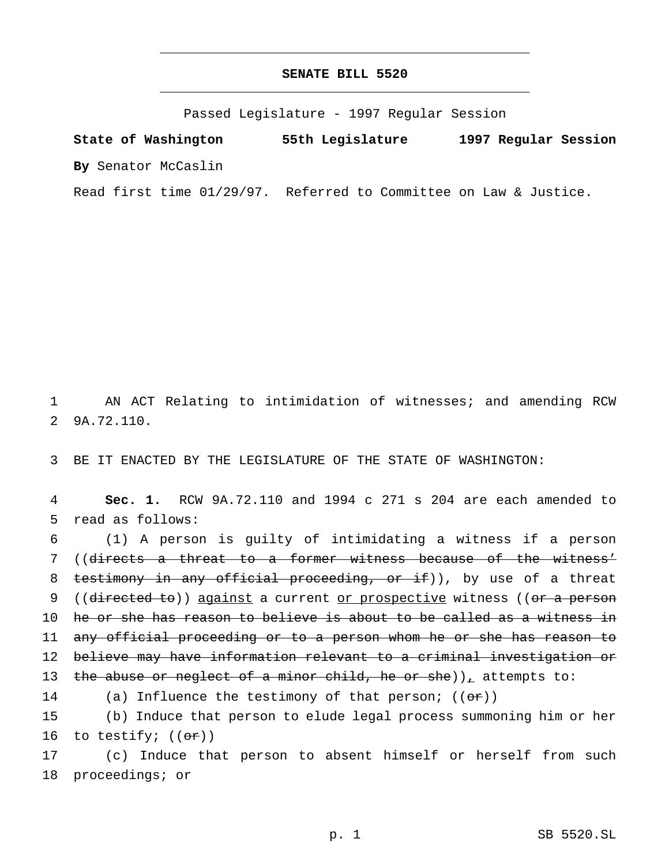# **SENATE BILL 5520** \_\_\_\_\_\_\_\_\_\_\_\_\_\_\_\_\_\_\_\_\_\_\_\_\_\_\_\_\_\_\_\_\_\_\_\_\_\_\_\_\_\_\_\_\_\_\_

\_\_\_\_\_\_\_\_\_\_\_\_\_\_\_\_\_\_\_\_\_\_\_\_\_\_\_\_\_\_\_\_\_\_\_\_\_\_\_\_\_\_\_\_\_\_\_

Passed Legislature - 1997 Regular Session

**State of Washington 55th Legislature 1997 Regular Session By** Senator McCaslin

Read first time 01/29/97. Referred to Committee on Law & Justice.

1 AN ACT Relating to intimidation of witnesses; and amending RCW 2 9A.72.110.

3 BE IT ENACTED BY THE LEGISLATURE OF THE STATE OF WASHINGTON:

4 **Sec. 1.** RCW 9A.72.110 and 1994 c 271 s 204 are each amended to 5 read as follows:

6 (1) A person is guilty of intimidating a witness if a person 7 ((directs a threat to a former witness because of the witness' 8 testimony in any official proceeding, or if)), by use of a threat 9 ((directed to)) against a current <u>or prospective</u> witness ((or a person 10 he or she has reason to believe is about to be called as a witness in 11 any official proceeding or to a person whom he or she has reason to 12 believe may have information relevant to a criminal investigation or 13 the abuse or neglect of a minor child, he or she)), attempts to: 14 (a) Influence the testimony of that person;  $((\theta \cdot \mathbf{r}))$ 

15 (b) Induce that person to elude legal process summoning him or her 16 to testify;  $((or))$ 

17 (c) Induce that person to absent himself or herself from such 18 proceedings; or